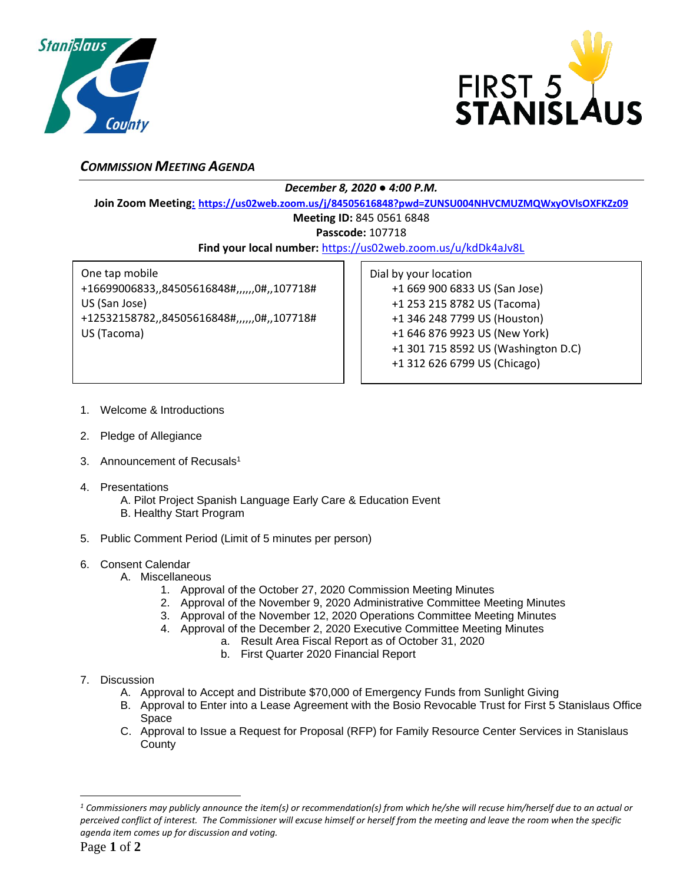



## *COMMISSION MEETING AGENDA*

*December 8, 2020 ● 4:00 P.M.*

**Join Zoom Meeting: [https://us02web.zoom.us/j/84505616848?pwd=ZUNSU004NHVCMUZMQWxyOVlsOXFKZz09](file:///C:/Users/Music%20Room/Desktop/Dec.%201,%202020%20Work%20Product/Commission%20Agenda%20&%20notices/:%20https:/us02web.zoom.us/j/85892361764)**

## **Meeting ID:** 845 0561 6848

**Passcode:** 107718

**Find your local number:** <https://us02web.zoom.us/u/kdDk4aJv8L>

One tap mobile +16699006833,,84505616848#,,,,,,0#,,107718# US (San Jose) +12532158782,,84505616848#,,,,,,0#,,107718# US (Tacoma)

Dial by your location +1 669 900 6833 US (San Jose) +1 253 215 8782 US (Tacoma) +1 346 248 7799 US (Houston) +1 646 876 9923 US (New York) +1 301 715 8592 US (Washington D.C) +1 312 626 6799 US (Chicago)

- 1. Welcome & Introductions
- 2. Pledge of Allegiance
- 3. Announcement of Recusals<sup>1</sup>
- 4. Presentations
	- A. Pilot Project Spanish Language Early Care & Education Event B. Healthy Start Program
- 5. Public Comment Period (Limit of 5 minutes per person)
- 6. Consent Calendar
	- A. Miscellaneous
		- 1. Approval of the October 27, 2020 Commission Meeting Minutes
		- 2. Approval of the November 9, 2020 Administrative Committee Meeting Minutes
		- 3. Approval of the November 12, 2020 Operations Committee Meeting Minutes
		- 4. Approval of the December 2, 2020 Executive Committee Meeting Minutes
			- a. Result Area Fiscal Report as of October 31, 2020
				- b. First Quarter 2020 Financial Report
- 7. Discussion
	- A. Approval to Accept and Distribute \$70,000 of Emergency Funds from Sunlight Giving
	- B. Approval to Enter into a Lease Agreement with the Bosio Revocable Trust for First 5 Stanislaus Office Space
	- C. Approval to Issue a Request for Proposal (RFP) for Family Resource Center Services in Stanislaus **County**

*<sup>1</sup> Commissioners may publicly announce the item(s) or recommendation(s) from which he/she will recuse him/herself due to an actual or perceived conflict of interest. The Commissioner will excuse himself or herself from the meeting and leave the room when the specific agenda item comes up for discussion and voting.*